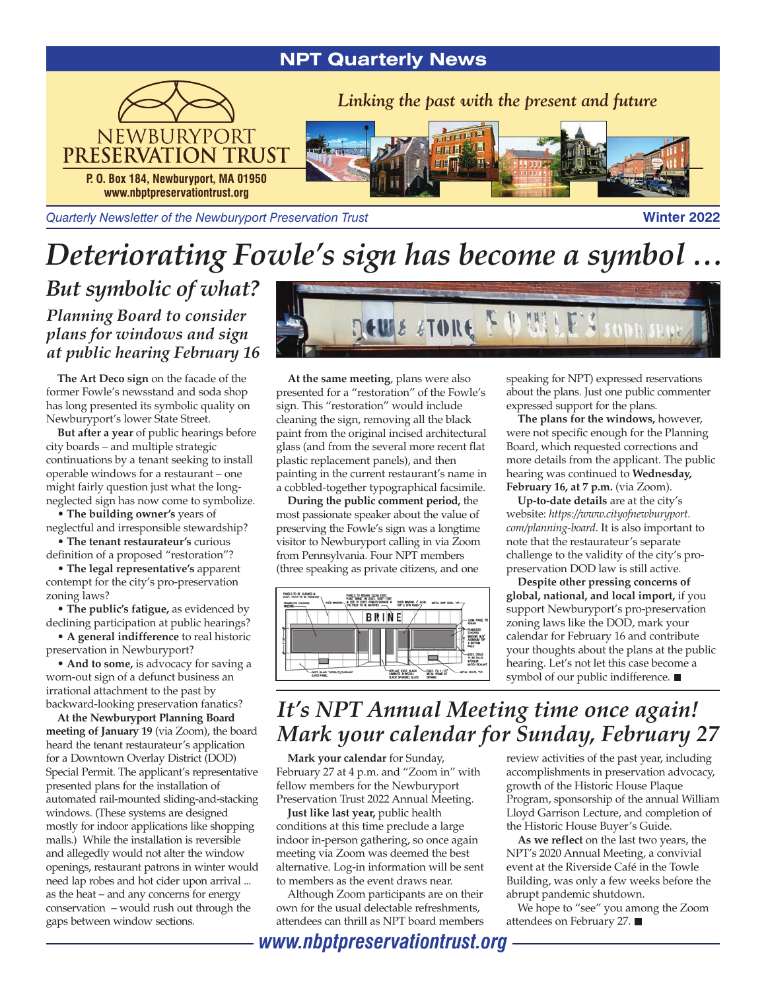## **NPT Quarterly News**



*Quarterly Newsletter of the Newburyport Preservation Trust* **Winter 2022** 

# *Deteriorating Fowle's sign has become a symbol …*

*But symbolic of what?*

*Planning Board to consider plans for windows and sign at public hearing February 16*

**The Art Deco sign** on the facade of the former Fowle's newsstand and soda shop has long presented its symbolic quality on Newburyport's lower State Street.

**But after a year** of public hearings before city boards – and multiple strategic continuations by a tenant seeking to install operable windows for a restaurant – one might fairly question just what the longneglected sign has now come to symbolize.

**• The building owner's** years of neglectful and irresponsible stewardship?

**• The tenant restaurateur's** curious definition of a proposed "restoration"?

**• The legal representative's** apparent contempt for the city's pro-preservation zoning laws?

**• The public's fatigue,** as evidenced by declining participation at public hearings?

**• A general indifference** to real historic preservation in Newburyport?

**• And to some,** is advocacy for saving a worn-out sign of a defunct business an irrational attachment to the past by backward-looking preservation fanatics?

**At the Newburyport Planning Board meeting of January 19** (via Zoom), the board heard the tenant restaurateur's application for a Downtown Overlay District (DOD) Special Permit. The applicant's representative presented plans for the installation of automated rail-mounted sliding-and-stacking windows. (These systems are designed mostly for indoor applications like shopping malls.) While the installation is reversible and allegedly would not alter the window openings, restaurant patrons in winter would need lap robes and hot cider upon arrival ... as the heat – and any concerns for energy conservation – would rush out through the gaps between window sections.



**At the same meeting**, plans were also presented for a "restoration" of the Fowle's sign. This "restoration" would include cleaning the sign, removing all the black paint from the original incised architectural glass (and from the several more recent flat plastic replacement panels), and then painting in the current restaurant's name in a cobbled-together typographical facsimile.

**During the public comment period,** the most passionate speaker about the value of preserving the Fowle's sign was a longtime visitor to Newburyport calling in via Zoom from Pennsylvania. Four NPT members (three speaking as private citizens, and one



speaking for NPT) expressed reservations about the plans. Just one public commenter expressed support for the plans.

**The plans for the windows,** however, were not specific enough for the Planning Board, which requested corrections and more details from the applicant. The public hearing was continued to **Wednesday, February 16, at 7 p.m.** (via Zoom).

**Up-to-date details** are at the city's website: *https://www.cityofnewburyport. com/planning-board*. It is also important to note that the restaurateur's separate challenge to the validity of the city's propreservation DOD law is still active.

**Despite other pressing concerns of global, national, and local import,** if you support Newburyport's pro-preservation zoning laws like the DOD, mark your calendar for February 16 and contribute your thoughts about the plans at the public hearing. Let's not let this case become a symbol of our public indifference.

# *It's NPT Annual Meeting time once again! Mark your calendar for Sunday, February 27*

**Mark your calendar** for Sunday, February 27 at 4 p.m. and "Zoom in" with fellow members for the Newburyport Preservation Trust 2022 Annual Meeting.

**Just like last year,** public health conditions at this time preclude a large indoor in-person gathering, so once again meeting via Zoom was deemed the best alternative. Log-in information will be sent to members as the event draws near.

Although Zoom participants are on their own for the usual delectable refreshments, attendees can thrill as NPT board members review activities of the past year, including accomplishments in preservation advocacy, growth of the Historic House Plaque Program, sponsorship of the annual William Lloyd Garrison Lecture, and completion of the Historic House Buyer's Guide.

**As we reflect** on the last two years, the NPT's 2020 Annual Meeting, a convivial event at the Riverside Café in the Towle Building, was only a few weeks before the abrupt pandemic shutdown.

We hope to "see" you among the Zoom attendees on February 27.

*www.nbptpreservationtrust.org*